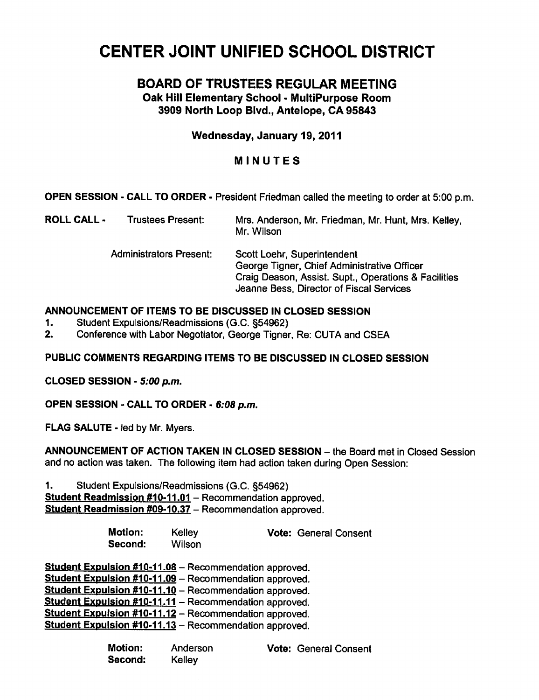# CENTER JOINT UNIFIED SCHOOL DISTRICT

# BOARD OF TRUSTEES REGULAR MEETING

Oak Hill Elementary School - MultiPurpose Room 3909 North Loop Blvd., Antelope, CA 95843

Wednesday, January 19, 2011

## MINUTES

OPEN SESSION - CALL TO ORDER - President Friedman called the meeting to order at 5:00 p.m.

| ROLL CALL - | <b>Trustees Present:</b>       | Mrs. Anderson, Mr. Friedman, Mr. Hunt, Mrs. Kelley,<br>Mr. Wilson                                                                                                              |  |  |
|-------------|--------------------------------|--------------------------------------------------------------------------------------------------------------------------------------------------------------------------------|--|--|
|             | <b>Administrators Present:</b> | Scott Loehr, Superintendent<br>George Tigner, Chief Administrative Officer<br>Craig Deason, Assist. Supt., Operations & Facilities<br>Jeanne Bess, Director of Fiscal Services |  |  |

## ANNOUNCEMENT OF ITEMS TO BE DISCUSSED IN CLOSED SESSION

- 1. Student Expulsions/Readmissions (G.C. §54962)
- 2. Conference with Labor Negotiator, George Tigner, Re: CUTA and CSEA

## PUBLIC COMMENTS REGARDING ITEMS TO BE DISCUSSED IN CLOSED SESSION

CLOSED SESSION - 5:00 p.m.

OPEN SESSION - CALL TO ORDER - 6:08 p.m.

FLAG SALUTE - led by Mr. Myers.

ANNOUNCEMENT OF ACTION TAKEN IN CLOSED SESSION - the Board met in Closed Session and no action was taken. The following item had action taken during Open Session:

1. Student Expulsions/Readmissions (G.C. §54962) Student Readmission #10-11.01 - Recommendation approved. Student Readmission #09-10.37 - Recommendation approved.

> Motion: Kelley **Vote: General Consent** Second: Wilson

Student Expulsion #10-11.08 - Recommendation approved. Student Expulsion #10-11.09 - Recommendation approved. Student Expulsion #10-11.10 - Recommendation approved. **Student Expulsion #10-11.11** - Recommendation approved. Student Expulsion #10-11.12 - Recommendation approved. Student Expulsion #10-11.13 - Recommendation approved.

> Motion: Anderson Vote: General Consent Second: Kelley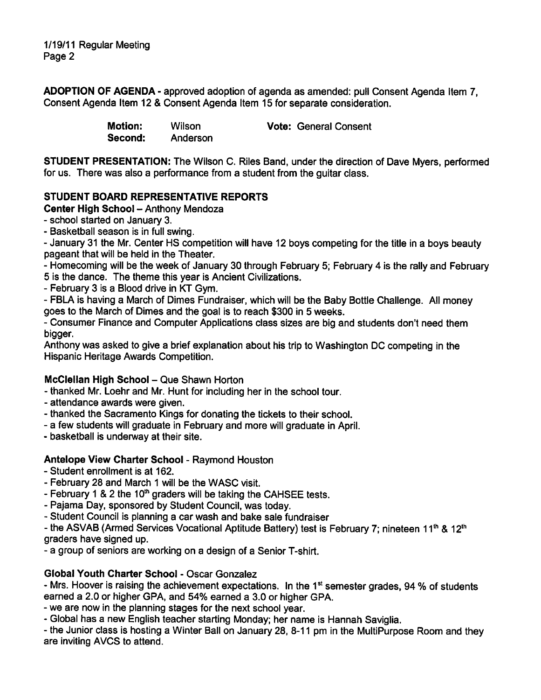1/19/11 Regular Meeting Page 2

ADOPTION OF AGENDA - approved adoption of agenda as amended: pull Consent Agenda Item 7. Consent Agenda Item 12 & Consent Agenda Item 15 for separate consideration.

| <b>Motion:</b> | Wilson   | <b>Vote: General Consent</b> |
|----------------|----------|------------------------------|
| Second:        | Anderson |                              |

STUDENT PRESENTATION: The Wilson C. Riles Band, under the direction of Dave Myers, performed for us. There was also a performance from a student from the guitar class.

## STUDENT BOARD REPRESENTATIVE REPORTS

#### Center High School - Anthony Mendoza

school started on January 3.

- Basketball season is in full swing.

- January 31 the Mr. Center HS competition will have 12 boys competing for the title in a boys beauty pageant that will be held in the Theater.

- Homecoming will be the week of January 30 through February 5; February 4 is the rally and February 5 is the dance. The theme this year is Ancient Civilizations.

February 3 is a Blood drive in KT Gym.

FBLA is having a March of Dimes Fundraiser, which will be the Baby Bottle Challenge. All money goes to the March of Dimes and the goal is to reach \$300 in 5 weeks.

Consumer Finance and Computer Applications class sizes are big and students don't need them bigger.

Anthony was asked to give a brief explanation about his trip to Washington DC competing in the Hispanic Heritage Awards Competition.

#### McClellan High School - Que Shawn Horton

thanked Mr. Loehr and Mr. Hunt for including her in the school tour.

- attendance awards were given.
- thanked the Sacramento Kings for donating the tickets to their school.
- a few students will graduate in February and more will graduate in April.
- basketball is underway at their site.

#### Antelope View Charter School - Raymond Houston

- Student enrollment is at 162.
- February 28 and March 1 will be the WASC visit.
- February 1 & 2 the  $10<sup>th</sup>$  graders will be taking the CAHSEE tests.
- Pajama Day, sponsored by Student Council, was today.
- Student Council is planning a car wash and bake sale fundraiser

- the ASVAB (Armed Services Vocational Aptitude Battery) test is February 7; nineteen 11<sup>th</sup> & 12<sup>th</sup> graders have signed up.

a group of seniors are working on a design of a Senior T-shirt.

#### Global Youth Charter School - Oscar Gonzalez

- Mrs. Hoover is raising the achievement expectations. In the 1<sup>st</sup> semester grades, 94 % of students earned a 2.0 or higher GPA, and 54% earned a 3.0 or higher GPA.

we are now in the planning stages for the next school year.

Global has a new English teacher starting Monday; her name is Hannah Saviglia.

the Junior class is hosting a Winter Ball on January 28, 8-11 pm in the Multipurpose Room and they are inviting AVCS to attend.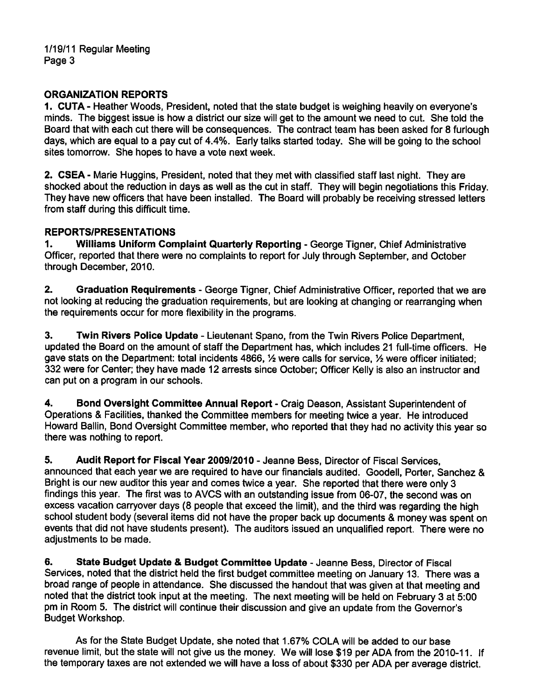## ORGANIZATION REPORTS

1. CUTA - Heather Woods, President, noted that the state budget is weighing heavily on everyone's minds. The biggest issue is how a district our size will get to the amount we need to cut. She told the Board that with each cut there will be consequences. The contract team has been asked for 8 furlough days, which are equal to a pay cut of 4.4%. Early talks started today. She will be going to the school sites tomorrow. She hopes to have a vote next week.

2. CSEA - Marie Huggins, President, noted that they met with classified staff last night. They are shocked about the reduction in days as well as the cut in staff. They will begin negotiations this Friday. They have new officers that have been installed. The Board will probably be receiving stressed letters from staff during this difficult time.

## REPORTS/PRESENTATIONS

1. Williams Uniform Complaint Quarterly Reporting - George Tigner, Chief Administrative Officer, reported that there were no complaints to report for July through September, and October through December, 2010.

2. Graduation Requirements - George Tigner, Chief Administrative Officer, reported that we are not looking at reducing the graduation requirements, but are looking at changing or rearranging when the requirements occur for more flexibility in the programs.

3. Twin Rivers Police Update Lieutenant Spano, from the Twin Rivers Police Department, updated the Board on the amount of staff the Department has, which includes 21 full-time officers. He gave stats on the Department: total incidents 4866,  $\frac{1}{2}$  were calls for service,  $\frac{1}{2}$  were officer initiated; 332 were for Center; they have made 12 arrests since October; Officer Kelly is also an instructor and can put on a program in our schools.

4. Bond Oversight Committee Annual Report - Craig Deason, Assistant Superintendent of Operations & Facilities, thanked the Committee members for meeting twice a year. He introduced Howard Ballin, Bond Oversight Committee member, who reported that they had no activity this year so there was nothing to report.

5. Audit Report for Fiscal Year 2009/2010 - Jeanne Bess, Director of Fiscal Services, announced that each year we are required to have our financials audited. Goodell, Porter, Sanchez & Bright is our new auditor this year and comes twice a year. She reported that there were only 3 findings this year. The first was to AVCS with an outstanding issue from 06-07, the second was on excess vacation carryover days (8 people that exceed the limit), and the third was regarding the high school student body (several items did not have the proper back up documents & money was spent on events that did not have students present). The auditors issued an unqualified report. There were no adjustments to be made.

6. State Budget Update & Budget Committee Update - Jeanne Bess, Director of Fiscal Services, noted that the district held the first budget committee meeting on January 13. There was a broad range of people in attendance. She discussed the handout that was given at that meeting and noted that the district took input at the meeting. The next meeting will be held on February 3 at 5:00 pm in Room 5. The district will continue their discussion and give an update from the Governor's Budget Workshop.

As for the State Budget Update, she noted that 1.67% COLA will be added to our base revenue limit, but the state will not give us the money. We will lose \$19 per ADA from the 2010-11. If the temporary taxes are not extended we will have a loss of about \$330 per ADA per average district.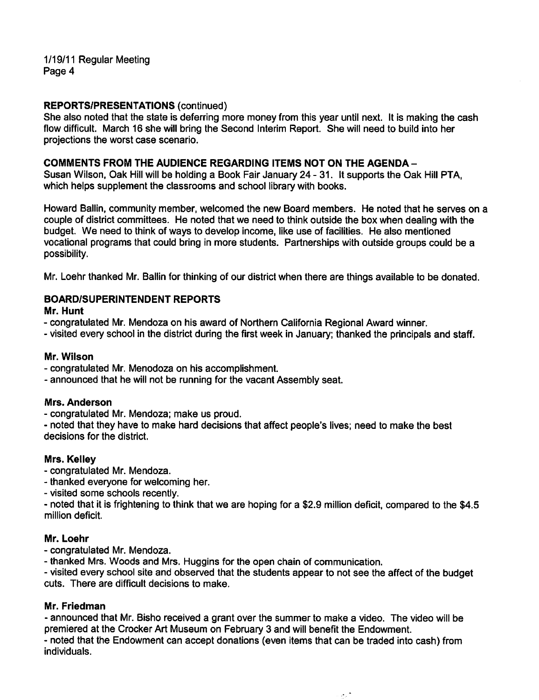1/19/11 Regular Meeting Page 4

#### REPORTS/PRESENTATIONS (continued)

She also noted that the state is deferring more money from this year until next. It is making the cash flow difficult. March 16 she will bring the Second Interim Report. She will need to build into her projections the worst case scenario.

#### COMMENTS FROM THE AUDIENCE REGARDING ITEMS NOT ON THE AGENDA-

Susan Wilson, Oak Hill will be holding a Book Fair January 24 - 31. It supports the Oak Hill PTA, which helps supplement the classrooms and school library with books.

Howard Ballin, community member, welcomed the new Board members. He noted that he serves on a couple of district committees. He noted that we need to think outside the box when dealing with the budget. We need to think of ways to develop income, like use of facilities. He also mentioned vocational programs that could bring in more students. Partnerships with outside groups could be a possibility.

Mr. Loehr thanked Mr. Ballin for thinking of our district when there are things available to be donated.

#### BOARD/SUPERINTENDENT REPORTS

Mr. Hunt

- congratulated Mr. Mendoza on his award of Northern California Regional Award winner.
- visited every school in the district during the first week in January; thanked the principals and staff.

#### Mr. Wilson

- congratulated Mr. Menodoza on his accomplishment.
- announced that he will not be running for the vacant Assembly seat.

#### Mrs. Anderson

congratulated Mr. Mendoza; make us proud.

noted that they have to make hard decisions that affect people's lives; need to make the best decisions for the district.

#### Mrs. Kelley

- congratulated Mr. Mendoza.
- thanked everyone for welcoming her.
- visited some schools recently.

noted that it is frightening to think that we are hoping for a \$2.9 million deficit, compared to the \$4.5 million deficit.

#### Mr. Loehr

congratulated Mr. Mendoza.

thanked Mrs. Woods and Mrs. Huggins for the open chain of communication.

visited every school site and observed that the students appear to not see the affect of the budget cuts. There are difficult decisions to make.

#### Mr. Friedman

announced that Mr. Bisho received a grant over the summer to make a video. The video will be premiered at the Crocker Art Museum on February 3 and will benefit the Endowment.

noted that the Endowment can accept donations (even items that can be traded into cash) from individuals.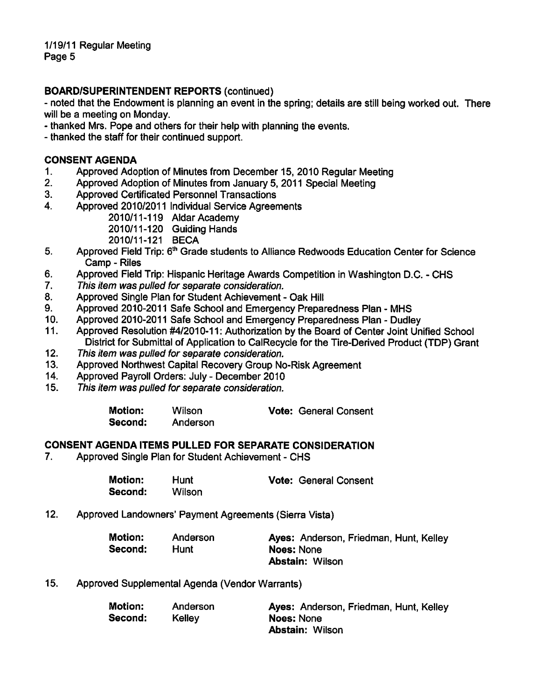## BOARD/SUPERINTENDENT REPORTS (continued)

noted that the Endowment is planning an event in the spring; details are still being worked out. There will be a meeting on Monday.

- thanked Mrs. Pope and others for their help with planning the events.
- thanked the staff for their continued support.

## CONSENT AGENDA

- 1. Approved Adoption of Minutes from December 15, 2010 Regular Meeting
- 2. Approved Adoption of Minutes from January 5, 2011 Special Meeting
- 3. Approved Certificated Personnel Transactions
- 4. Approved 2010/2011 Individual Service Agreements
	- 2010/11-119 Aldar Academy

2010/11-120 Guiding Hands

- 2010/11-121 BECA
- 5. Approved Field Trip: 6<sup>th</sup> Grade students to Alliance Redwoods Education Center for Science Camp - Riles
- 6. Approved Field Trip: Hispanic Heritage Awards Competition in Washington D.C. CHS
- 7. This item was pulled for separate consideration.
- 8. Approved Single Plan for Student Achievement Oak Hill
- 9. Approved 2010-2011 Safe School and Emergency Preparedness Plan MHS
- 10. Approved 2010-2011 Safe School and Emergency Preparedness Plan Dudley
- 11. Approved Resolution #4/2010-11: Authorization by the Board of Center Joint Unified School District for Submittai of Application to CaiRecycie for the Tire-Derived Product (TDP) Grant
- 12. This item was pulled for separate consideration.
- 13. Approved Northwest Capital Recovery Group No-Risk Agreement
- 14. Approved Payroll Orders: July December 2010
- 15. This item was pulled for separate consideration.

| <b>Motion:</b> | <b>Wilson</b> | <b>Vote: General Consent</b> |
|----------------|---------------|------------------------------|
| Second:        | Anderson      |                              |

#### CONSENT AGENDA ITEMS PULLED FOR SEPARATE CONSIDERATION

7. Approved Single Plan for Student Achievement - CHS

| <b>Motion:</b> | Hunt   | <b>Vote: General Consent</b> |
|----------------|--------|------------------------------|
| Second:        | Wilson |                              |

12. Approved Landowners' Payment Agreements (Sierra Vista)

| <b>Motion:</b> | Anderson | Ayes: Anderson, Friedman, Hunt, Kelley |
|----------------|----------|----------------------------------------|
| Second:        | Hunt     | Noes: None                             |
|                |          | <b>Abstain: Wilson</b>                 |

15. Approved Supplemental Agenda (Vendor Warrants)

| Motion: | Anderson | Ayes: Anderson, Friedman, Hunt, Kelley |
|---------|----------|----------------------------------------|
| Second: | Kelley   | Noes: None                             |
|         |          | <b>Abstain: Wilson</b>                 |